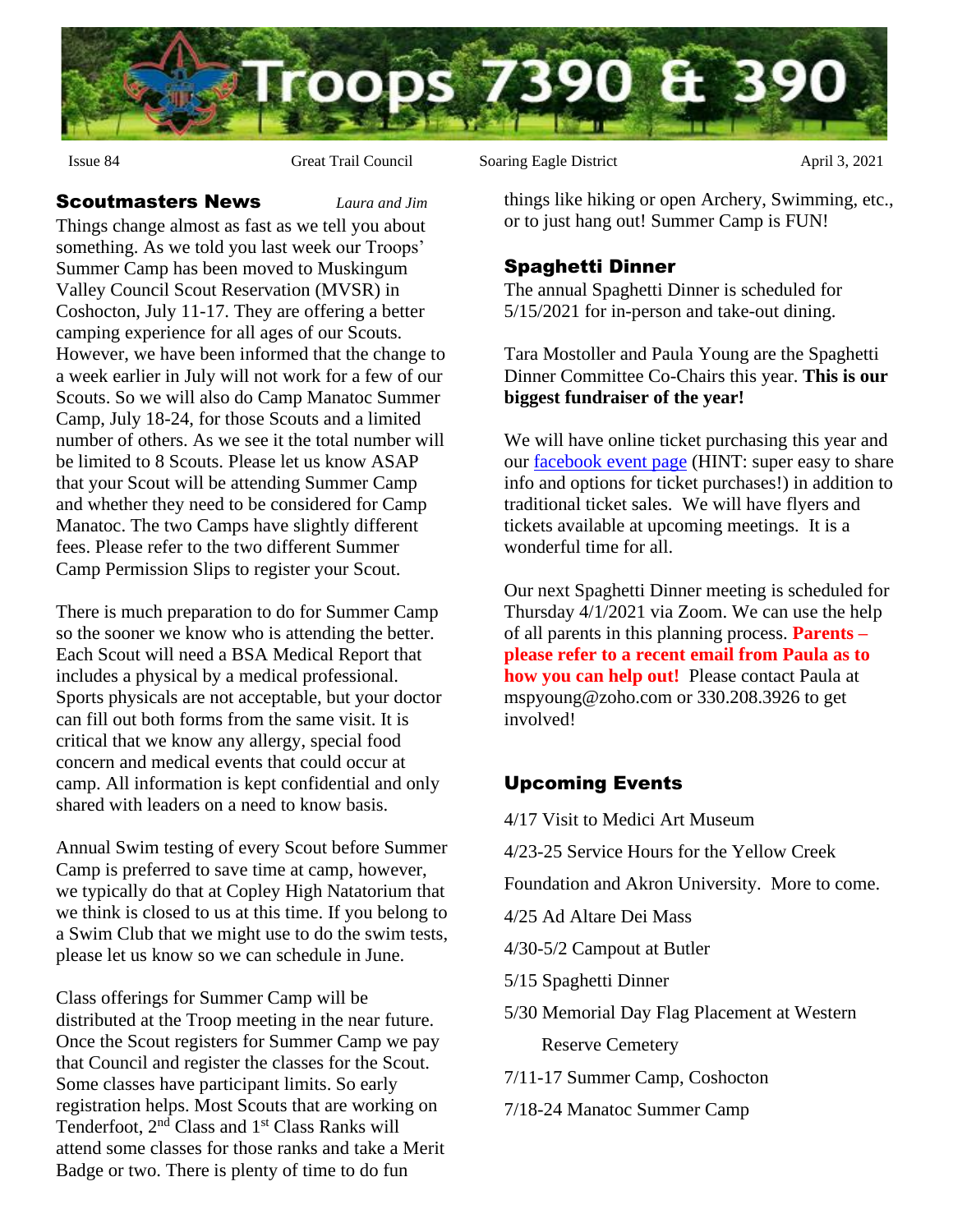

#### Scoutmasters News *Laura and Jim*

Things change almost as fast as we tell you about something. As we told you last week our Troops' Summer Camp has been moved to Muskingum Valley Council Scout Reservation (MVSR) in Coshocton, July 11-17. They are offering a better camping experience for all ages of our Scouts. However, we have been informed that the change to a week earlier in July will not work for a few of our Scouts. So we will also do Camp Manatoc Summer Camp, July 18-24, for those Scouts and a limited number of others. As we see it the total number will be limited to 8 Scouts. Please let us know ASAP that your Scout will be attending Summer Camp and whether they need to be considered for Camp Manatoc. The two Camps have slightly different fees. Please refer to the two different Summer Camp Permission Slips to register your Scout.

There is much preparation to do for Summer Camp so the sooner we know who is attending the better. Each Scout will need a BSA Medical Report that includes a physical by a medical professional. Sports physicals are not acceptable, but your doctor can fill out both forms from the same visit. It is critical that we know any allergy, special food concern and medical events that could occur at camp. All information is kept confidential and only shared with leaders on a need to know basis.

Annual Swim testing of every Scout before Summer Camp is preferred to save time at camp, however, we typically do that at Copley High Natatorium that we think is closed to us at this time. If you belong to a Swim Club that we might use to do the swim tests, please let us know so we can schedule in June.

Class offerings for Summer Camp will be distributed at the Troop meeting in the near future. Once the Scout registers for Summer Camp we pay that Council and register the classes for the Scout. Some classes have participant limits. So early registration helps. Most Scouts that are working on Tenderfoot, 2<sup>nd</sup> Class and 1<sup>st</sup> Class Ranks will attend some classes for those ranks and take a Merit Badge or two. There is plenty of time to do fun

Issue 84 Great Trail Council Soaring Eagle District April 3, 2021

things like hiking or open Archery, Swimming, etc., or to just hang out! Summer Camp is FUN!

### Spaghetti Dinner

The annual Spaghetti Dinner is scheduled for 5/15/2021 for in-person and take-out dining.

Tara Mostoller and Paula Young are the Spaghetti Dinner Committee Co-Chairs this year. **This is our biggest fundraiser of the year!**

We will have online ticket purchasing this year and our [facebook event page](https://www.facebook.com/Scouts-BSA-Troop-390-Fairlawn-OH-111623844326073/events/?ref=page_internal) (HINT: super easy to share info and options for ticket purchases!) in addition to traditional ticket sales. We will have flyers and tickets available at upcoming meetings. It is a wonderful time for all.

Our next Spaghetti Dinner meeting is scheduled for Thursday 4/1/2021 via Zoom. We can use the help of all parents in this planning process. **Parents – please refer to a recent email from Paula as to how you can help out!** Please contact Paula at mspyoung@zoho.com or 330.208.3926 to get involved!

# Upcoming Events

4/17 Visit to Medici Art Museum

4/23-25 Service Hours for the Yellow Creek

Foundation and Akron University. More to come.

4/25 Ad Altare Dei Mass

4/30-5/2 Campout at Butler

5/15 Spaghetti Dinner

5/30 Memorial Day Flag Placement at Western

Reserve Cemetery

7/11-17 Summer Camp, Coshocton

7/18-24 Manatoc Summer Camp